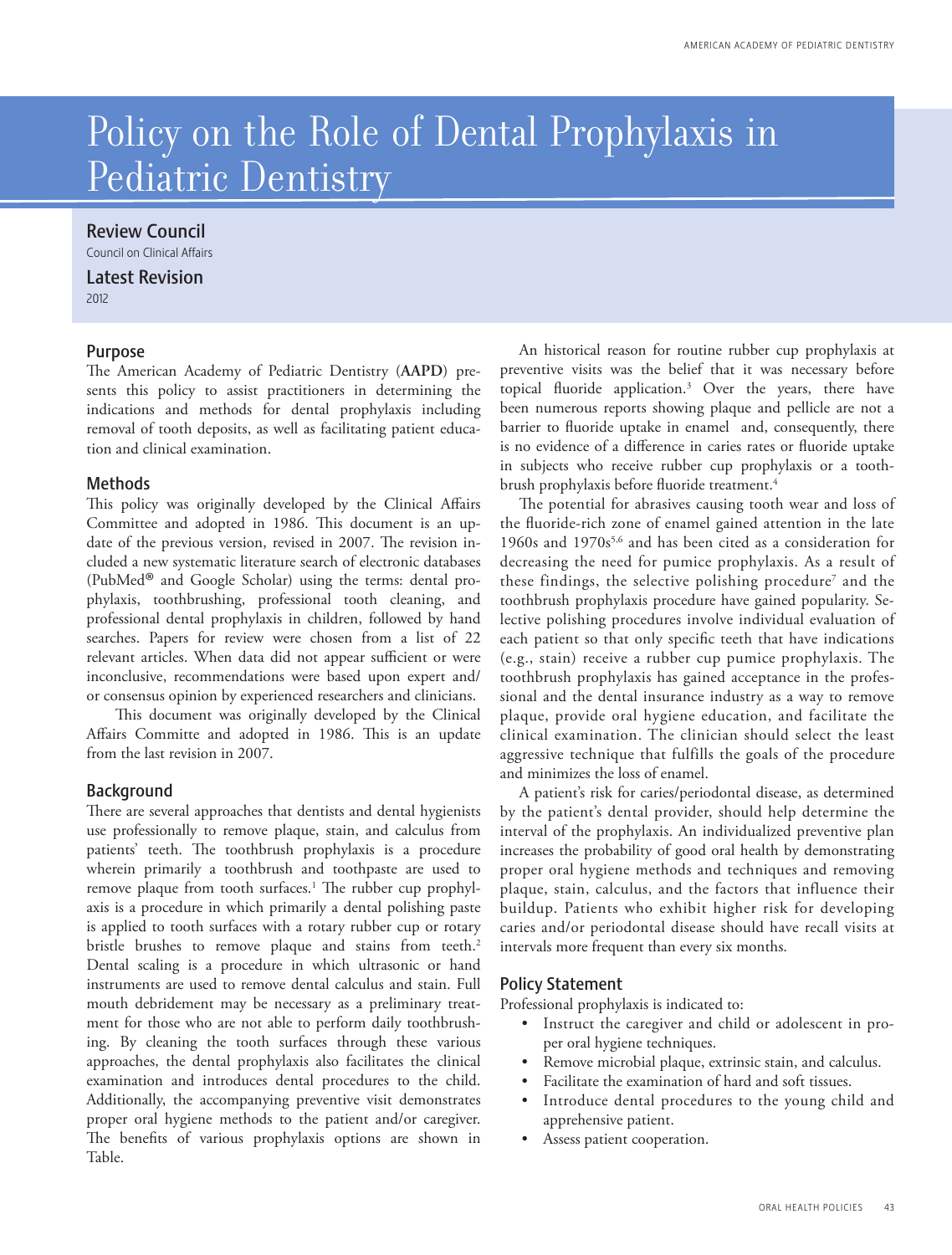# Policy on the Role of Dental Prophylaxis in Pediatric Dentistry

# Review Council

Council on Clinical Affairs

Latest Revision 2012

# Purpose

The American Academy of Pediatric Dentistry (**AAPD**) presents this policy to assist practitioners in determining the indications and methods for dental prophylaxis including removal of tooth deposits, as well as facilitating patient education and clinical examination.

# **Methods**

This policy was originally developed by the Clinical Affairs Committee and adopted in 1986. This document is an update of the previous version, revised in 2007. The revision included a new systematic literature search of electronic databases (PubMed ® and Google Scholar) using the terms: dental prophylaxis, toothbrushing, professional tooth cleaning, and professional dental prophylaxis in children, followed by hand searches. Papers for review were chosen from a list of 22 relevant articles. When data did not appear sufficient or were inconclusive, recommendations were based upon expert and/ or consensus opinion by experienced researchers and clinicians.

This document was originally developed by the Clinical Affairs Committe and adopted in 1986. This is an update from the last revision in 2007.

# **Background**

There are several approaches that dentists and dental hygienists use professionally to remove plaque, stain, and calculus from patients' teeth. The toothbrush prophylaxis is a procedure wherein primarily a toothbrush and toothpaste are used to remove plaque from tooth surfaces.<sup>1</sup> The rubber cup prophylaxis is a procedure in which primarily a dental polishing paste is applied to tooth surfaces with a rotary rubber cup or rotary bristle brushes to remove plaque and stains from teeth.<sup>2</sup> Dental scaling is a procedure in which ultrasonic or hand instruments are used to remove dental calculus and stain. Full mouth debridement may be necessary as a preliminary treatment for those who are not able to perform daily toothbrushing. By cleaning the tooth surfaces through these various approaches, the dental prophylaxis also facilitates the clinical examination and introduces dental procedures to the child. Additionally, the accompanying preventive visit demonstrates proper oral hygiene methods to the patient and/or caregiver. The benefits of various prophylaxis options are shown in Table.

An historical reason for routine rubber cup prophylaxis at preventive visits was the belief that it was necessary before topical fluoride application.<sup>3</sup> Over the years, there have been numerous reports showing plaque and pellicle are not a barrier to fluoride uptake in enamel and, consequently, there is no evidence of a difference in caries rates or fluoride uptake in subjects who receive rubber cup prophylaxis or a toothbrush prophylaxis before fluoride treatment.<sup>4</sup>

The potential for abrasives causing tooth wear and loss of the fluoride-rich zone of enamel gained attention in the late 1960s and 1970s<sup>5,6</sup> and has been cited as a consideration for decreasing the need for pumice prophylaxis. As a result of these findings, the selective polishing procedure<sup>7</sup> and the toothbrush prophylaxis procedure have gained popularity. Selective polishing procedures involve individual evaluation of each patient so that only specific teeth that have indications (e.g., stain) receive a rubber cup pumice prophylaxis. The toothbrush prophylaxis has gained acceptance in the professional and the dental insurance industry as a way to remove plaque, provide oral hygiene education, and facilitate the clinical examination. The clinician should select the least aggressive technique that fulfills the goals of the procedure and minimizes the loss of enamel.

A patient's risk for caries/periodontal disease, as determined by the patient's dental provider, should help determine the interval of the prophylaxis. An individualized preventive plan increases the probability of good oral health by demonstrating proper oral hygiene methods and techniques and removing plaque, stain, calculus, and the factors that influence their buildup. Patients who exhibit higher risk for developing caries and/or periodontal disease should have recall visits at intervals more frequent than every six months.

# Policy Statement

Professional prophylaxis is indicated to:

- Instruct the caregiver and child or adolescent in proper oral hygiene techniques.
- Remove microbial plaque, extrinsic stain, and calculus.
- Facilitate the examination of hard and soft tissues.
- Introduce dental procedures to the young child and apprehensive patient.
- Assess patient cooperation.